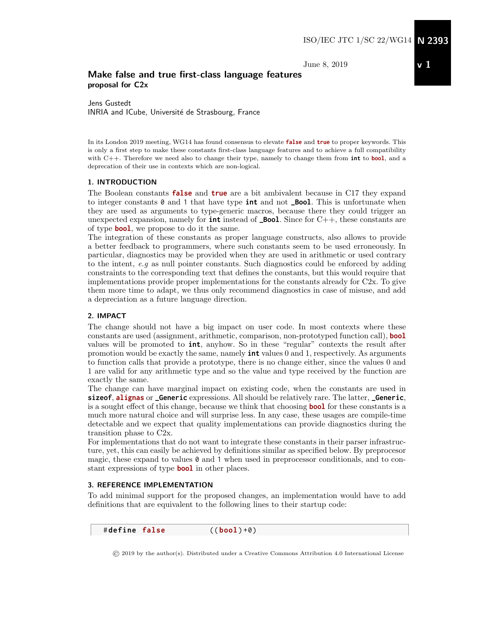June 8, 2019

## v 1

## Make false and true first-class language features proposal for C2x

Jens Gustedt INRIA and ICube, Université de Strasbourg, France

In its London 2019 meeting, WG14 has found consensus to elevate **false** and **true** to proper keywords. This is only a first step to make these constants first-class language features and to achieve a full compatibility with C++. Therefore we need also to change their type, namely to change them from **int** to **bool**, and a deprecation of their use in contexts which are non-logical.

#### 1. INTRODUCTION

The Boolean constants **false** and **true** are a bit ambivalent because in C17 they expand to integer constants 0 and 1 that have type **int** and not **\_Bool**. This is unfortunate when they are used as arguments to type-generic macros, because there they could trigger an unexpected expansion, namely for **int** instead of **\_Bool**. Since for C++, these constants are of type **bool**, we propose to do it the same.

The integration of these constants as proper language constructs, also allows to provide a better feedback to programmers, where such constants seem to be used erroneously. In particular, diagnostics may be provided when they are used in arithmetic or used contrary to the intent, e.g as null pointer constants. Such diagnostics could be enforced by adding constraints to the corresponding text that defines the constants, but this would require that implementations provide proper implementations for the constants already for C2x. To give them more time to adapt, we thus only recommend diagnostics in case of misuse, and add a depreciation as a future language direction.

#### 2. IMPACT

The change should not have a big impact on user code. In most contexts where these constants are used (assignment, arithmetic, comparison, non-prototyped function call), **bool** values will be promoted to **int**, anyhow. So in these "regular" contexts the result after promotion would be exactly the same, namely **int** values 0 and 1, respectively. As arguments to function calls that provide a prototype, there is no change either, since the values 0 and 1 are valid for any arithmetic type and so the value and type received by the function are exactly the same.

The change can have marginal impact on existing code, when the constants are used in **sizeof**, **alignas** or **\_Generic** expressions. All should be relatively rare. The latter, **\_Generic**, is a sought effect of this change, because we think that choosing **bool** for these constants is a much more natural choice and will surprise less. In any case, these usages are compile-time detectable and we expect that quality implementations can provide diagnostics during the transition phase to C2x.

For implementations that do not want to integrate these constants in their parser infrastructure, yet, this can easily be achieved by definitions similar as specified below. By preprocesor magic, these expand to values  $\theta$  and 1 when used in preprocessor conditionals, and to constant expressions of type **bool** in other places.

#### 3. REFERENCE IMPLEMENTATION

To add minimal support for the proposed changes, an implementation would have to add definitions that are equivalent to the following lines to their startup code:

# **define false** (( **bool** ) +0)

© 2019 by the author(s). Distributed under a Creative Commons Attribution 4.0 International License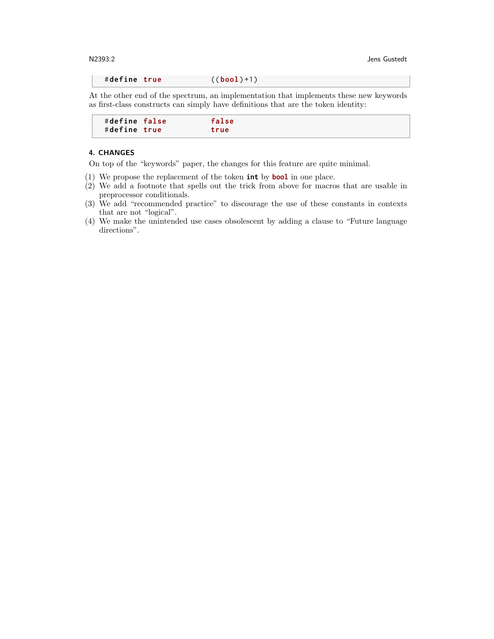N2393:2 Jens Gustedt

# **define true** (( **bool** ) +1)

At the other end of the spectrum, an implementation that implements these new keywords as first-class constructs can simply have definitions that are the token identity:

| $#define$ $false$ | false |  |
|-------------------|-------|--|
| #define true      | true  |  |

#### 4. CHANGES

On top of the "keywords" paper, the changes for this feature are quite minimal.

- (1) We propose the replacement of the token **int** by **bool** in one place.
- (2) We add a footnote that spells out the trick from above for macros that are usable in preprocessor conditionals.
- (3) We add "recommended practice" to discourage the use of these constants in contexts that are not "logical".
- (4) We make the unintended use cases obsolescent by adding a clause to "Future language directions".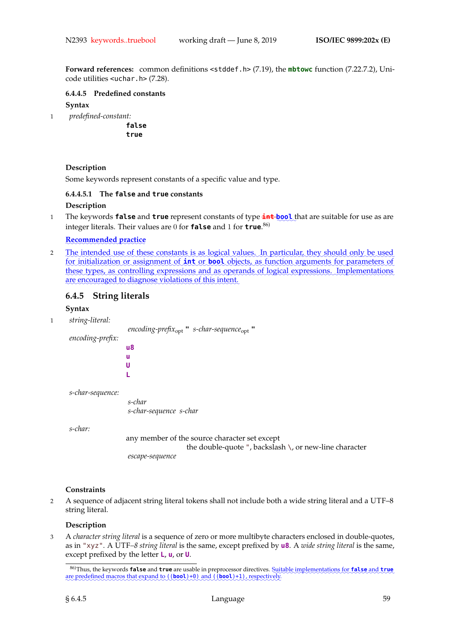**Forward references:** common definitions <stddef.h> (7.19), the **mbtowc** function (7.22.7.2), Unicode utilities <uchar.h> (7.28).

**6.4.4.5 Predefined constants**

#### **Syntax**

1 *predefined-constant:*

**false true**

## **Description**

Some keywords represent constants of a specific value and type.

## **6.4.4.5.1 The false and true constants Description**

<sup>1</sup> The keywords **false** and **true** represent constants of type **int** ✿✿✿✿ **bool**✿ that are suitable for use as are integer literals. Their values are 0 for **false** and 1 for **true**. 86)

## ✿✿✿✿✿✿✿✿✿✿✿✿✿✿✿✿✿✿✿✿✿ **Recommended practice**

2 Lhe intended use of these constants is as logical values. In particular, they should only be used for initialization or assignment of **int** or **bool** objects, as function arguments for parameters of these types, as controlling expressions and as operands of logical expressions. Implementations are encouraged to diagnose violations of this intent.

## **6.4.5 String literals**

## **Syntax**

1 *string-literal:*

*encoding-prefix*opt **"** *s-char-sequence*opt **"** *encoding-prefix:* **u8 u U L**

*s-char-sequence:*

*s-char s-char-sequence s-char*

*s-char:*

any member of the source character set except the double-quote ", backslash \, or new-line character *escape-sequence*

## **Constraints**

2 A sequence of adjacent string literal tokens shall not include both a wide string literal and a UTF–8 string literal.

## **Description**

3 A *character string literal* is a sequence of zero or more multibyte characters enclosed in double-quotes, as in "xyz". A UTF*–8 string literal* is the same, except prefixed by **u8**. A *wide string literal* is the same, except prefixed by the letter **L**, **u**, or **U**.

<sup>86)</sup>Thus, the keywords **false** and **true** are usable in preprocessor directives. Suitable implementations for **false** and **true** are predefined macros that expand to  $((bool)+0)$  and  $((bool)+1)$ , respectively.